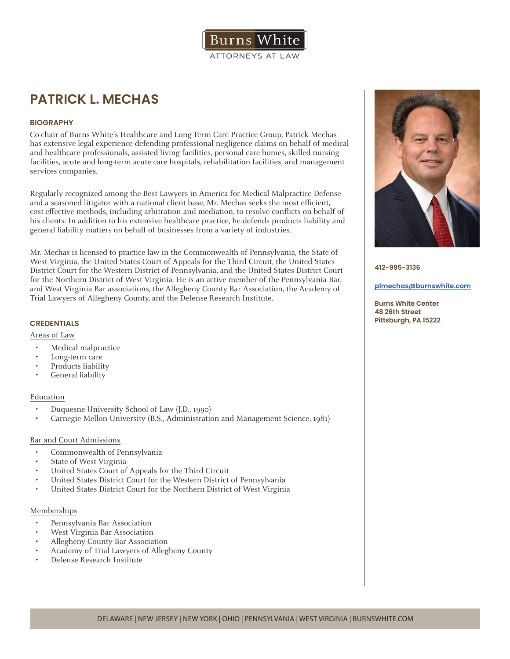

# **PATRICK L. MECHAS**

## **BIOGRAPHY**

Co-chair of Burns White's Healthcare and Long-Term Care Practice Group, Patrick Mechas has extensive legal experience defending professional negligence claims on behalf of medical and healthcare professionals, assisted living facilities, personal care homes, skilled nursing facilities, acute and long-term acute care hospitals, rehabilitation facilities, and management services companies.

Regularly recognized among the Best Lawyers in America for Medical Malpractice Defense and a seasoned litigator with a national client base, Mr. Mechas seeks the most efficient, cost-effective methods, including arbitration and mediation, to resolve conflicts on behalf of his clients. In addition to his extensive healthcare practice, he defends products liability and general liability matters on behalf of businesses from a variety of industries.

Mr. Mechas is licensed to practice law in the Commonwealth of Pennsylvania, the State of West Virginia, the United States Court of Appeals for the Third Circuit, the United States District Court for the Western District of Pennsylvania, and the United States District Court for the Northern District of West Virginia. He is an active member of the Pennsylvania Bar, and West Virginia Bar associations, the Allegheny County Bar Association, the Academy of Trial Lawyers of Allegheny County, and the Defense Research Institute.

## **CREDENTIALS**

## Areas of Law

- Medical malpractice
- Long-term care
- Products liability
- General liability

## Education

- Duquesne University School of Law (J.D., 1990)
- Carnegie Mellon University (B.S., Administration and Management Science, 1981)

## Bar and Court Admissions

- Commonwealth of Pennsylvania
- State of West Virginia
- United States Court of Appeals for the Third Circuit
- United States District Court for the Western District of Pennsylvania
- United States District Court for the Northern District of West Virginia

## Memberships

- Pennsylvania Bar Association
- West Virginia Bar Association
- Allegheny County Bar Association
- Academy of Trial Lawyers of Allegheny County
- Defense Research Institute



**412-995-3136**

#### **plmechas@burnswhite.com**

**Burns White Center 48 26th Street Pittsburgh, PA 15222**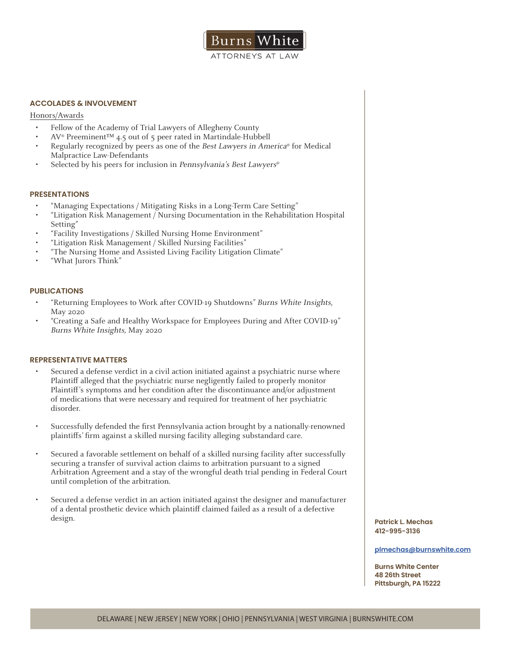

## **ACCOLADES & INVOLVEMENT**

#### Honors/Awards

- Fellow of the Academy of Trial Lawyers of Allegheny County
- AV® Preeminent™ 4.5 out of 5 peer rated in Martindale-Hubbell
- Regularly recognized by peers as one of the Best Lawyers in America® for Medical Malpractice Law-Defendants
- Selected by his peers for inclusion in Pennsylvania's Best Lawyers®

#### **PRESENTATIONS**

- "Managing Expectations / Mitigating Risks in a Long-Term Care Setting"
- "Litigation Risk Management / Nursing Documentation in the Rehabilitation Hospital Setting"
- "Facility Investigations / Skilled Nursing Home Environment"
- "Litigation Risk Management / Skilled Nursing Facilities"
- "The Nursing Home and Assisted Living Facility Litigation Climate"
- "What Jurors Think"

#### **PUBLICATIONS**

- "Returning Employees to Work after COVID-19 Shutdowns" Burns White Insights, May 2020
- "Creating a Safe and Healthy Workspace for Employees During and After COVID-19" Burns White Insights, May 2020

#### **REPRESENTATIVE MATTERS**

- Secured a defense verdict in a civil action initiated against a psychiatric nurse where Plaintiff alleged that the psychiatric nurse negligently failed to properly monitor Plaintiff's symptoms and her condition after the discontinuance and/or adjustment of medications that were necessary and required for treatment of her psychiatric disorder.
- Successfully defended the first Pennsylvania action brought by a nationally-renowned plaintiffs' firm against a skilled nursing facility alleging substandard care.
- Secured a favorable settlement on behalf of a skilled nursing facility after successfully securing a transfer of survival action claims to arbitration pursuant to a signed Arbitration Agreement and a stay of the wrongful death trial pending in Federal Court until completion of the arbitration.
- Secured a defense verdict in an action initiated against the designer and manufacturer of a dental prosthetic device which plaintiff claimed failed as a result of a defective design. **Patrick L. Mechas**

**412-995-3136**

**plmechas@burnswhite.com**

**Burns White Center 48 26th Street Pittsburgh, PA 15222**